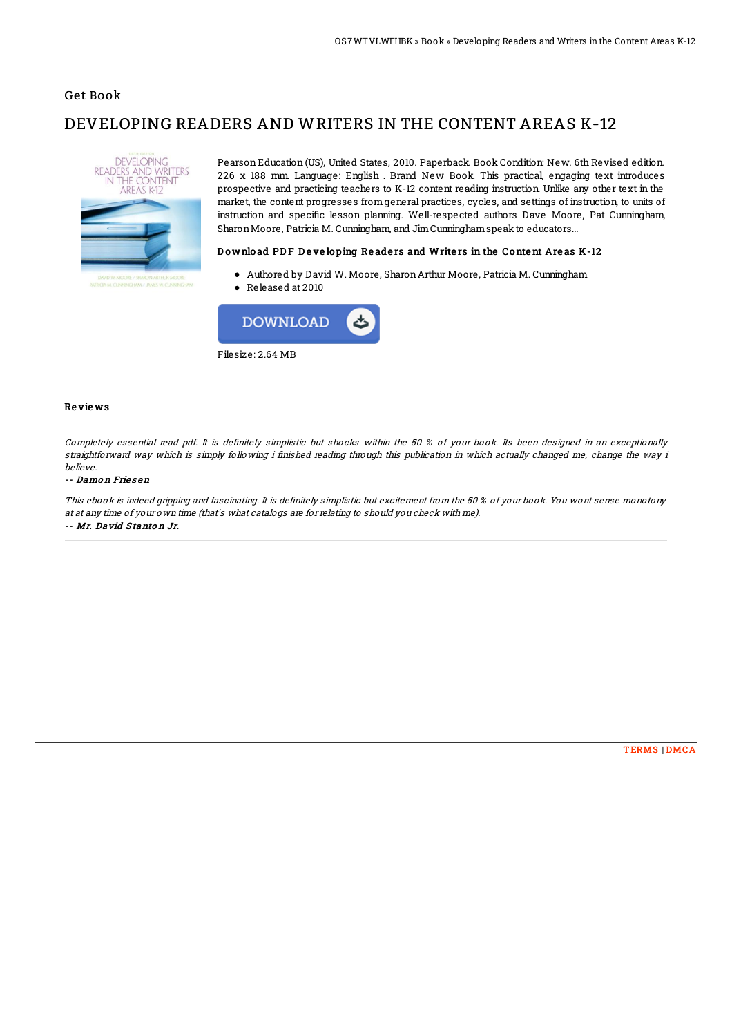### Get Book

# DEVELOPING READERS AND WRITERS IN THE CONTENT AREAS K-12



Pearson Education (US), United States, 2010. Paperback. Book Condition: New. 6th Revised edition. 226 x 188 mm. Language: English . Brand New Book. This practical, engaging text introduces prospective and practicing teachers to K-12 content reading instruction. Unlike any other text in the market, the content progresses from general practices, cycles, and settings of instruction, to units of instruction and specific lesson planning. Well-respected authors Dave Moore, Pat Cunningham, Sharon Moore, Patricia M. Cunningham, and Jim Cunningham speak to educators...

### Download PDF Developing Readers and Writers in the Content Areas K-12

- Authored by David W. Moore, SharonArthur Moore, Patricia M. Cunningham
- Released at 2010



#### Re vie ws

Completely essential read pdf. It is definitely simplistic but shocks within the 50 % of your book. Its been designed in an exceptionally straightforward way which is simply following i finished reading through this publication in which actually changed me, change the way i believe.

#### -- Damo <sup>n</sup> Frie s en

This ebook is indeed gripping and fascinating. It is definitely simplistic but excitement from the 50 % of your book. You wont sense monotony at at any time of your own time (that's what catalogs are for relating to should you check with me).

-- Mr. David S tanto <sup>n</sup> Jr.